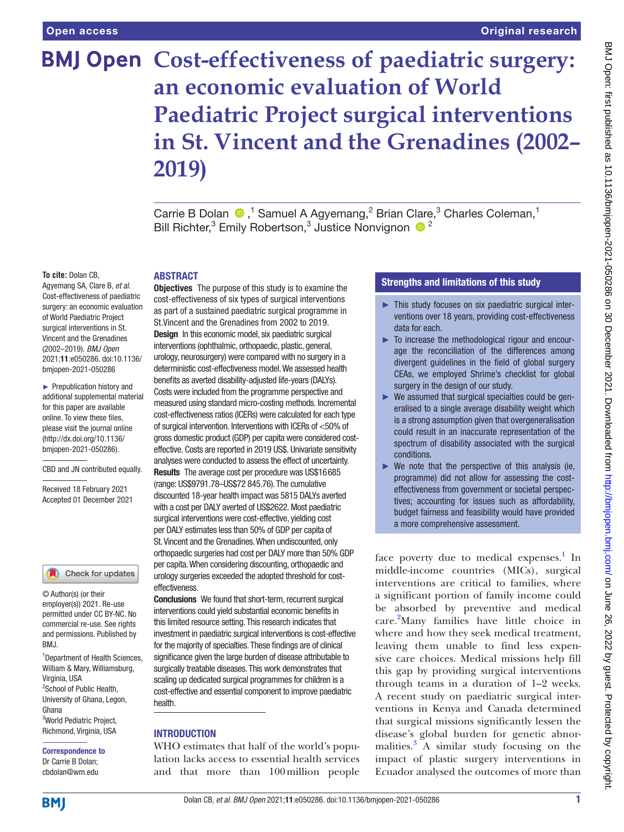# **BMJ Open Cost-effectiveness of paediatric surgery: an economic evaluation of World Paediatric Project surgical interventions in St. Vincent and the Grenadines (2002– 2019)**

Carrie B Dolan  $\bigcirc$ ,<sup>1</sup> Samuel A Agyemang,<sup>2</sup> Brian Clare,<sup>3</sup> Charles Coleman,<sup>1</sup> Bill Richter,<sup>3</sup> Emily Robertson,<sup>3</sup> Justice Nonvignon  $\bullet$ <sup>2</sup>

#### **To cite:** Dolan CB,

Agyemang SA, Clare B, *et al*. Cost-effectiveness of paediatric surgery: an economic evaluation of World Paediatric Project surgical interventions in St. Vincent and the Grenadines (2002–2019). *BMJ Open* 2021;11:e050286. doi:10.1136/ bmjopen-2021-050286

► Prepublication history and additional supplemental material for this paper are available online. To view these files, please visit the journal online [\(http://dx.doi.org/10.1136/](http://dx.doi.org/10.1136/bmjopen-2021-050286) [bmjopen-2021-050286](http://dx.doi.org/10.1136/bmjopen-2021-050286)).

CBD and JN contributed equally.

Received 18 February 2021 Accepted 01 December 2021

#### Check for updates

© Author(s) (or their employer(s)) 2021. Re-use permitted under CC BY-NC. No commercial re-use. See rights and permissions. Published by BMJ.

1 Department of Health Sciences, William & Mary, Williamsburg, Virginia, USA <sup>2</sup>School of Public Health, University of Ghana, Legon, Ghana 3 World Pediatric Project, Richmond, Virginia, USA

Correspondence to Dr Carrie B Dolan; cbdolan@wm.edu

# ABSTRACT

**Objectives** The purpose of this study is to examine the cost-effectiveness of six types of surgical interventions as part of a sustained paediatric surgical programme in St.Vincent and the Grenadines from 2002 to 2019. Design In this economic model, six paediatric surgical interventions (ophthalmic, orthopaedic, plastic, general, urology, neurosurgery) were compared with no surgery in a deterministic cost-effectiveness model. We assessed health benefits as averted disability-adjusted life-years (DALYs). Costs were included from the programme perspective and measured using standard micro-costing methods. Incremental cost-effectiveness ratios (ICERs) were calculated for each type of surgical intervention. Interventions with ICERs of <50% of gross domestic product (GDP) per capita were considered costeffective. Costs are reported in 2019 US\$. Univariate sensitivity analyses were conducted to assess the effect of uncertainty. Results The average cost per procedure was US\$16685 (range: US\$9791.78–US\$72 845.76). The cumulative discounted 18-year health impact was 5815 DALYs averted with a cost per DALY averted of US\$2622. Most paediatric surgical interventions were cost-effective, yielding cost per DALY estimates less than 50% of GDP per capita of St. Vincent and the Grenadines. When undiscounted, only orthopaedic surgeries had cost per DALY more than 50% GDP per capita. When considering discounting, orthopaedic and urology surgeries exceeded the adopted threshold for costeffectiveness.

Conclusions We found that short-term, recurrent surgical interventions could yield substantial economic benefits in this limited resource setting. This research indicates that investment in paediatric surgical interventions is cost-effective for the majority of specialties. These findings are of clinical significance given the large burden of disease attributable to surgically treatable diseases. This work demonstrates that scaling up dedicated surgical programmes for children is a cost-effective and essential component to improve paediatric health.

### **INTRODUCTION**

WHO estimates that half of the world's population lacks access to essential health services and that more than 100million people

# Strengths and limitations of this study

- ► This study focuses on six paediatric surgical interventions over 18 years, providing cost-effectiveness data for each.
- ► To increase the methodological rigour and encourage the reconciliation of the differences among divergent guidelines in the field of global surgery CEAs, we employed Shrime's checklist for global surgery in the design of our study.
- ► We assumed that surgical specialties could be generalised to a single average disability weight which is a strong assumption given that overgeneralisation could result in an inaccurate representation of the spectrum of disability associated with the surgical conditions.
- $\triangleright$  We note that the perspective of this analysis (ie, programme) did not allow for assessing the costeffectiveness from government or societal perspectives; accounting for issues such as affordability, budget fairness and feasibility would have provided a more comprehensive assessment.

face poverty due to medical expenses.<sup>[1](#page-6-0)</sup> In middle-income countries (MICs), surgical interventions are critical to families, where a significant portion of family income could be absorbed by preventive and medical care[.2](#page-6-1) Many families have little choice in where and how they seek medical treatment, leaving them unable to find less expensive care choices. Medical missions help fill this gap by providing surgical interventions through teams in a duration of 1–2 weeks. A recent study on paediatric surgical interventions in Kenya and Canada determined that surgical missions significantly lessen the disease's global burden for genetic abnor-malities.<sup>[3](#page-6-2)</sup> A similar study focusing on the impact of plastic surgery interventions in Ecuador analysed the outcomes of more than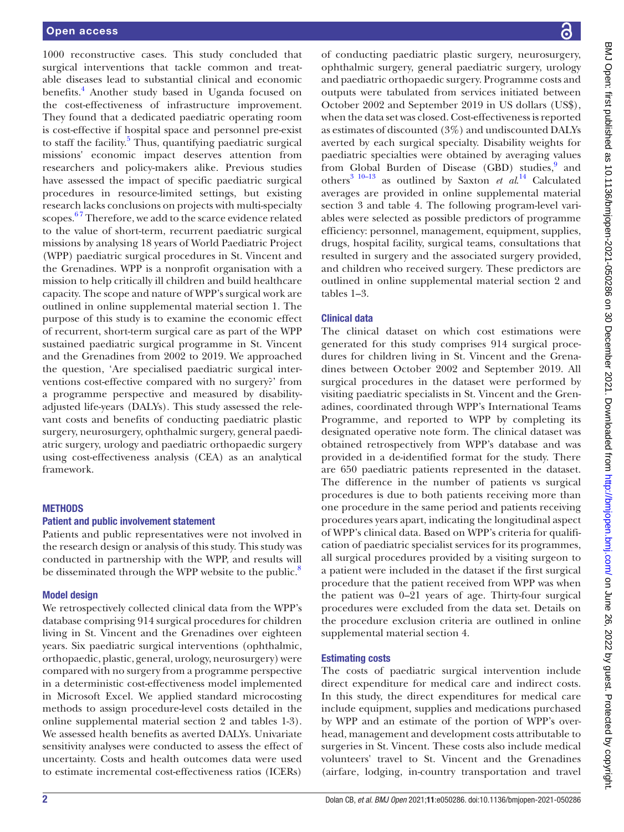1000 reconstructive cases. This study concluded that surgical interventions that tackle common and treatable diseases lead to substantial clinical and economic benefits.<sup>4</sup> Another study based in Uganda focused on the cost-effectiveness of infrastructure improvement. They found that a dedicated paediatric operating room is cost-effective if hospital space and personnel pre-exist to staff the facility.<sup>[5](#page-6-4)</sup> Thus, quantifying paediatric surgical missions' economic impact deserves attention from researchers and policy-makers alike. Previous studies have assessed the impact of specific paediatric surgical procedures in resource-limited settings, but existing research lacks conclusions on projects with multi-specialty scopes.<sup>67</sup> Therefore, we add to the scarce evidence related to the value of short-term, recurrent paediatric surgical missions by analysing 18 years of World Paediatric Project (WPP) paediatric surgical procedures in St. Vincent and the Grenadines. WPP is a nonprofit organisation with a mission to help critically ill children and build healthcare capacity. The scope and nature of WPP's surgical work are outlined in [online supplemental material section 1.](https://dx.doi.org/10.1136/bmjopen-2021-050286) The purpose of this study is to examine the economic effect of recurrent, short-term surgical care as part of the WPP sustained paediatric surgical programme in St. Vincent and the Grenadines from 2002 to 2019. We approached the question, 'Are specialised paediatric surgical interventions cost-effective compared with no surgery?' from a programme perspective and measured by disabilityadjusted life-years (DALYs). This study assessed the relevant costs and benefits of conducting paediatric plastic surgery, neurosurgery, ophthalmic surgery, general paediatric surgery, urology and paediatric orthopaedic surgery using cost-effectiveness analysis (CEA) as an analytical framework.

## **METHODS**

### Patient and public involvement statement

Patients and public representatives were not involved in the research design or analysis of this study. This study was conducted in partnership with the WPP, and results will be disseminated through the WPP website to the public.<sup>8</sup>

#### Model design

We retrospectively collected clinical data from the WPP's database comprising 914 surgical procedures for children living in St. Vincent and the Grenadines over eighteen years. Six paediatric surgical interventions (ophthalmic, orthopaedic, plastic, general, urology, neurosurgery) were compared with no surgery from a programme perspective in a deterministic cost-effectiveness model implemented in Microsoft Excel. We applied standard microcosting methods to assign procedure-level costs detailed in the [online supplemental material section 2 and tables 1-3](https://dx.doi.org/10.1136/bmjopen-2021-050286)). We assessed health benefits as averted DALYs. Univariate sensitivity analyses were conducted to assess the effect of uncertainty. Costs and health outcomes data were used to estimate incremental cost-effectiveness ratios (ICERs)

of conducting paediatric plastic surgery, neurosurgery, ophthalmic surgery, general paediatric surgery, urology and paediatric orthopaedic surgery. Programme costs and outputs were tabulated from services initiated between October 2002 and September 2019 in US dollars (US\$), when the data set was closed. Cost-effectiveness is reported as estimates of discounted (3%) and undiscounted DALYs averted by each surgical specialty. Disability weights for paediatric specialties were obtained by averaging values from Global Burden of Disease (GBD) studies,<sup>[9](#page-6-7)</sup> and others<sup>3</sup> <sup>10-13</sup> as outlined by Saxton *et al.*<sup>[14](#page-6-8)</sup> Calculated averages are provided in [online supplemental material](https://dx.doi.org/10.1136/bmjopen-2021-050286)  [section 3 and table 4.](https://dx.doi.org/10.1136/bmjopen-2021-050286) The following program-level variables were selected as possible predictors of programme efficiency: personnel, management, equipment, supplies, drugs, hospital facility, surgical teams, consultations that resulted in surgery and the associated surgery provided, and children who received surgery. These predictors are outlined in [online supplemental material section 2 and](https://dx.doi.org/10.1136/bmjopen-2021-050286)  [tables 1–3.](https://dx.doi.org/10.1136/bmjopen-2021-050286)

### Clinical data

The clinical dataset on which cost estimations were generated for this study comprises 914 surgical procedures for children living in St. Vincent and the Grenadines between October 2002 and September 2019. All surgical procedures in the dataset were performed by visiting paediatric specialists in St. Vincent and the Grenadines, coordinated through WPP's International Teams Programme, and reported to WPP by completing its designated operative note form. The clinical dataset was obtained retrospectively from WPP's database and was provided in a de-identified format for the study. There are 650 paediatric patients represented in the dataset. The difference in the number of patients vs surgical procedures is due to both patients receiving more than one procedure in the same period and patients receiving procedures years apart, indicating the longitudinal aspect of WPP's clinical data. Based on WPP's criteria for qualification of paediatric specialist services for its programmes, all surgical procedures provided by a visiting surgeon to a patient were included in the dataset if the first surgical procedure that the patient received from WPP was when the patient was 0–21 years of age. Thirty-four surgical procedures were excluded from the data set. Details on the procedure exclusion criteria are outlined in [online](https://dx.doi.org/10.1136/bmjopen-2021-050286)  [supplemental material section 4.](https://dx.doi.org/10.1136/bmjopen-2021-050286)

### Estimating costs

The costs of paediatric surgical intervention include direct expenditure for medical care and indirect costs. In this study, the direct expenditures for medical care include equipment, supplies and medications purchased by WPP and an estimate of the portion of WPP's overhead, management and development costs attributable to surgeries in St. Vincent. These costs also include medical volunteers' travel to St. Vincent and the Grenadines (airfare, lodging, in-country transportation and travel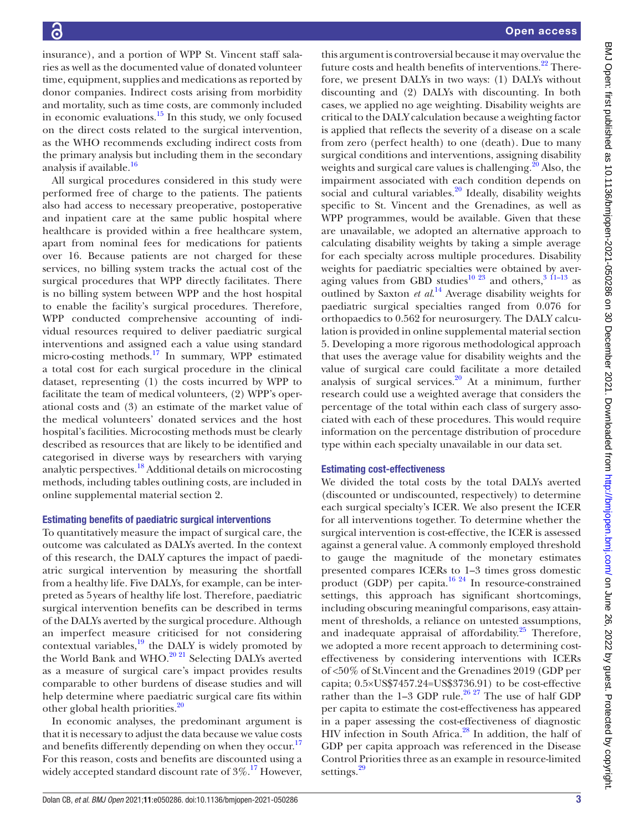insurance), and a portion of WPP St. Vincent staff salaries as well as the documented value of donated volunteer time, equipment, supplies and medications as reported by donor companies. Indirect costs arising from morbidity and mortality, such as time costs, are commonly included in economic evaluations.[15](#page-6-9) In this study, we only focused on the direct costs related to the surgical intervention, as the WHO recommends excluding indirect costs from the primary analysis but including them in the secondary analysis if available.<sup>[16](#page-6-10)</sup>

All surgical procedures considered in this study were performed free of charge to the patients. The patients also had access to necessary preoperative, postoperative and inpatient care at the same public hospital where healthcare is provided within a free healthcare system, apart from nominal fees for medications for patients over 16. Because patients are not charged for these services, no billing system tracks the actual cost of the surgical procedures that WPP directly facilitates. There is no billing system between WPP and the host hospital to enable the facility's surgical procedures. Therefore, WPP conducted comprehensive accounting of individual resources required to deliver paediatric surgical interventions and assigned each a value using standard micro-costing methods.<sup>17</sup> In summary, WPP estimated a total cost for each surgical procedure in the clinical dataset, representing (1) the costs incurred by WPP to facilitate the team of medical volunteers, (2) WPP's operational costs and (3) an estimate of the market value of the medical volunteers' donated services and the host hospital's facilities. Microcosting methods must be clearly described as resources that are likely to be identified and categorised in diverse ways by researchers with varying analytic perspectives.[18](#page-6-12) Additional details on microcosting methods, including tables outlining costs, are included in [online supplemental material section 2](https://dx.doi.org/10.1136/bmjopen-2021-050286).

## Estimating benefits of paediatric surgical interventions

To quantitatively measure the impact of surgical care, the outcome was calculated as DALYs averted. In the context of this research, the DALY captures the impact of paediatric surgical intervention by measuring the shortfall from a healthy life. Five DALYs, for example, can be interpreted as 5years of healthy life lost. Therefore, paediatric surgical intervention benefits can be described in terms of the DALYs averted by the surgical procedure. Although an imperfect measure criticised for not considering contextual variables, $^{19}$  the DALY is widely promoted by the World Bank and WHO.<sup>20 21</sup> Selecting DALYs averted as a measure of surgical care's impact provides results comparable to other burdens of disease studies and will help determine where paediatric surgical care fits within other global health priorities.<sup>[20](#page-6-14)</sup>

In economic analyses, the predominant argument is that it is necessary to adjust the data because we value costs and benefits differently depending on when they occur.<sup>17</sup> For this reason, costs and benefits are discounted using a widely accepted standard discount rate of  $3\%$ .<sup>17</sup> However,

this argument is controversial because it may overvalue the future costs and health benefits of interventions.<sup>[22](#page-6-15)</sup> Therefore, we present DALYs in two ways: (1) DALYs without discounting and (2) DALYs with discounting. In both cases, we applied no age weighting. Disability weights are critical to the DALY calculation because a weighting factor is applied that reflects the severity of a disease on a scale from zero (perfect health) to one (death). Due to many surgical conditions and interventions, assigning disability weights and surgical care values is challenging. $^{20}$  Also, the impairment associated with each condition depends on social and cultural variables. $20$  Ideally, disability weights specific to St. Vincent and the Grenadines, as well as WPP programmes, would be available. Given that these are unavailable, we adopted an alternative approach to calculating disability weights by taking a simple average for each specialty across multiple procedures. Disability weights for paediatric specialties were obtained by aver-aging values from GBD studies<sup>[10 23](#page-6-16)</sup> and others,  $3\frac{11-13}{11-13}$  as outlined by Saxton *et al*. [14](#page-6-8) Average disability weights for paediatric surgical specialties ranged from 0.076 for orthopaedics to 0.562 for neurosurgery. The DALY calculation is provided in [online supplemental material section](https://dx.doi.org/10.1136/bmjopen-2021-050286)  [5](https://dx.doi.org/10.1136/bmjopen-2021-050286). Developing a more rigorous methodological approach that uses the average value for disability weights and the value of surgical care could facilitate a more detailed analysis of surgical services. $20$  At a minimum, further research could use a weighted average that considers the percentage of the total within each class of surgery associated with each of these procedures. This would require information on the percentage distribution of procedure type within each specialty unavailable in our data set.

## Estimating cost-effectiveness

We divided the total costs by the total DALYs averted (discounted or undiscounted, respectively) to determine each surgical specialty's ICER. We also present the ICER for all interventions together. To determine whether the surgical intervention is cost-effective, the ICER is assessed against a general value. A commonly employed threshold to gauge the magnitude of the monetary estimates presented compares ICERs to 1–3 times gross domestic product (GDP) per capita.[16 24](#page-6-10) In resource-constrained settings, this approach has significant shortcomings, including obscuring meaningful comparisons, easy attainment of thresholds, a reliance on untested assumptions, and inadequate appraisal of affordability. $25$  Therefore, we adopted a more recent approach to determining costeffectiveness by considering interventions with ICERs of <50% of St.Vincent and the Grenadines 2019 (GDP per capita; 0.5×US\$7457.24=US\$3736.91) to be cost-effective rather than the  $1-3$  GDP rule.<sup>26 27</sup> The use of half GDP per capita to estimate the cost-effectiveness has appeared in a paper assessing the cost-effectiveness of diagnostic HIV infection in South Africa.<sup>[28](#page-6-19)</sup> In addition, the half of GDP per capita approach was referenced in the Disease Control Priorities three as an example in resource-limited settings.<sup>[29](#page-6-20)</sup>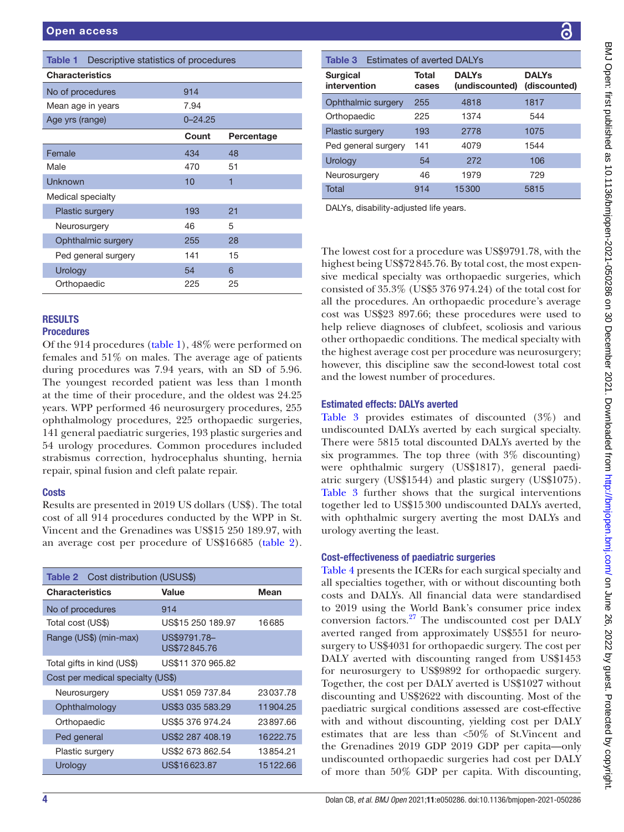<span id="page-3-0"></span>

| Table 1<br>Descriptive statistics of procedures |             |            |  |  |  |  |  |
|-------------------------------------------------|-------------|------------|--|--|--|--|--|
| <b>Characteristics</b>                          |             |            |  |  |  |  |  |
| No of procedures                                | 914         |            |  |  |  |  |  |
| Mean age in years                               | 7.94        |            |  |  |  |  |  |
| Age yrs (range)                                 | $0 - 24.25$ |            |  |  |  |  |  |
|                                                 | Count       | Percentage |  |  |  |  |  |
| Female                                          | 434         | 48         |  |  |  |  |  |
| Male                                            | 470         | 51         |  |  |  |  |  |
| Unknown                                         | 10          | 1          |  |  |  |  |  |
| Medical specialty                               |             |            |  |  |  |  |  |
| Plastic surgery                                 | 193         | 21         |  |  |  |  |  |
| Neurosurgery                                    | 46          | 5          |  |  |  |  |  |
| Ophthalmic surgery                              | 255         | 28         |  |  |  |  |  |
| Ped general surgery                             | 141         | 15         |  |  |  |  |  |
| Urology                                         | 54          | 6          |  |  |  |  |  |
| Orthopaedic                                     | 225         | 25         |  |  |  |  |  |

## RESULTS **Procedures**

Of the 914 procedures [\(table](#page-3-0) 1), 48% were performed on females and 51% on males. The average age of patients during procedures was 7.94 years, with an SD of 5.96. The youngest recorded patient was less than 1month at the time of their procedure, and the oldest was 24.25 years. WPP performed 46 neurosurgery procedures, 255 ophthalmology procedures, 225 orthopaedic surgeries, 141 general paediatric surgeries, 193 plastic surgeries and 54 urology procedures. Common procedures included strabismus correction, hydrocephalus shunting, hernia repair, spinal fusion and cleft palate repair.

## **Costs**

Results are presented in 2019 US dollars (US\$). The total cost of all 914 procedures conducted by the WPP in St. Vincent and the Grenadines was US\$15 250 189.97, with an average cost per procedure of US\$16685 [\(table](#page-3-1) 2).

<span id="page-3-1"></span>

| <b>Table 2</b> Cost distribution (USUS\$) |                              |          |  |  |  |
|-------------------------------------------|------------------------------|----------|--|--|--|
| <b>Characteristics</b>                    | Value                        | Mean     |  |  |  |
| No of procedures                          | 914                          |          |  |  |  |
| Total cost (US\$)                         | US\$15 250 189.97            | 16685    |  |  |  |
| Range (US\$) (min-max)                    | US\$9791.78-<br>US\$72845.76 |          |  |  |  |
| Total gifts in kind (US\$)                | US\$11 370 965.82            |          |  |  |  |
| Cost per medical specialty (US\$)         |                              |          |  |  |  |
| Neurosurgery                              | US\$1 059 737.84             | 23037.78 |  |  |  |
| Ophthalmology                             | US\$3 035 583.29             | 11904.25 |  |  |  |
| Orthopaedic                               | US\$5 376 974.24             | 23897.66 |  |  |  |
| Ped general                               | US\$2 287 408.19             | 16222.75 |  |  |  |
| Plastic surgery                           | US\$2 673 862.54             | 13854.21 |  |  |  |
| Urology                                   | US\$16623.87                 | 15122.66 |  |  |  |

| Total                  | 914 | 15300 | 5815 |  |
|------------------------|-----|-------|------|--|
| Neurosurgery           | 46  | 1979  | 729  |  |
| Urology                | 54  | 272   | 106  |  |
| Ped general surgery    | 141 | 4079  | 1544 |  |
| <b>Plastic surgery</b> | 193 | 2778  | 1075 |  |
| Orthopaedic            | 225 | 1374  | 544  |  |
| Ophthalmic surgery     | 255 | 4818  | 1817 |  |

DALYs, disability-adjusted life years.

<span id="page-3-2"></span>**Surgical** intervention

The lowest cost for a procedure was US\$9791.78, with the highest being US\$72845.76. By total cost, the most expensive medical specialty was orthopaedic surgeries, which consisted of 35.3% (US\$5 376 974.24) of the total cost for all the procedures. An orthopaedic procedure's average cost was US\$23 897.66; these procedures were used to help relieve diagnoses of clubfeet, scoliosis and various other orthopaedic conditions. The medical specialty with the highest average cost per procedure was neurosurgery; however, this discipline saw the second-lowest total cost and the lowest number of procedures.

# Estimated effects: DALYs averted

[Table](#page-3-2) 3 provides estimates of discounted (3%) and undiscounted DALYs averted by each surgical specialty. There were 5815 total discounted DALYs averted by the six programmes. The top three (with 3% discounting) were ophthalmic surgery (US\$1817), general paediatric surgery (US\$1544) and plastic surgery (US\$1075). [Table](#page-3-2) 3 further shows that the surgical interventions together led to US\$15300 undiscounted DALYs averted, with ophthalmic surgery averting the most DALYs and urology averting the least.

## Cost-effectiveness of paediatric surgeries

[Table](#page-4-0) 4 presents the ICERs for each surgical specialty and all specialties together, with or without discounting both costs and DALYs. All financial data were standardised to 2019 using the World Bank's consumer price index conversion factors[.27](#page-6-21) The undiscounted cost per DALY averted ranged from approximately US\$551 for neurosurgery to US\$4031 for orthopaedic surgery. The cost per DALY averted with discounting ranged from US\$1453 for neurosurgery to US\$9892 for orthopaedic surgery. Together, the cost per DALY averted is US\$1027 without discounting and US\$2622 with discounting. Most of the paediatric surgical conditions assessed are cost-effective with and without discounting, yielding cost per DALY estimates that are less than <50% of St.Vincent and the Grenadines 2019 GDP 2019 GDP per capita—only undiscounted orthopaedic surgeries had cost per DALY of more than 50% GDP per capita. With discounting,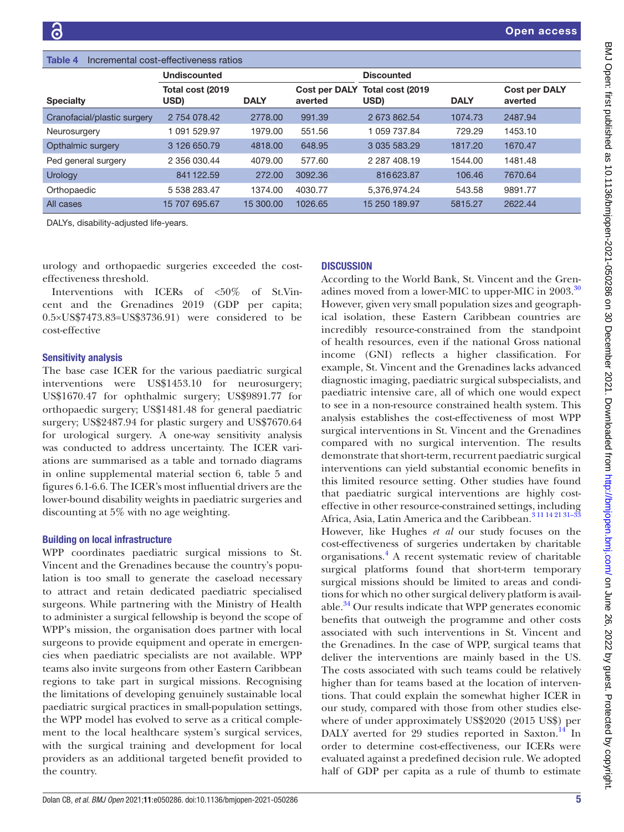<span id="page-4-0"></span>

| Incremental cost-effectiveness ratios<br>Table 4 |                          |             |                                 |                           |             |                                 |  |
|--------------------------------------------------|--------------------------|-------------|---------------------------------|---------------------------|-------------|---------------------------------|--|
|                                                  | <b>Undiscounted</b>      |             |                                 | <b>Discounted</b>         |             |                                 |  |
| <b>Specialty</b>                                 | Total cost (2019<br>USD) | <b>DALY</b> | <b>Cost per DALY</b><br>averted | Total cost (2019)<br>USD) | <b>DALY</b> | <b>Cost per DALY</b><br>averted |  |
| Cranofacial/plastic surgery                      | 2 754 078.42             | 2778.00     | 991.39                          | 2 673 862.54              | 1074.73     | 2487.94                         |  |
| Neurosurgery                                     | 1 091 529.97             | 1979.00     | 551.56                          | 1 059 737.84              | 729.29      | 1453.10                         |  |
| Opthalmic surgery                                | 3 126 650.79             | 4818,00     | 648.95                          | 3 035 583.29              | 1817.20     | 1670.47                         |  |
| Ped general surgery                              | 2 356 030.44             | 4079.00     | 577.60                          | 2 2 8 7 4 0 8 1 9         | 1544.00     | 1481.48                         |  |
| Urology                                          | 841122.59                | 272.00      | 3092.36                         | 816623.87                 | 106.46      | 7670.64                         |  |
| Orthopaedic                                      | 5 538 283.47             | 1374.00     | 4030.77                         | 5.376.974.24              | 543.58      | 9891.77                         |  |
| All cases                                        | 15 707 695.67            | 15 300.00   | 1026.65                         | 15 250 189.97             | 5815.27     | 2622.44                         |  |

DALYs, disability-adjusted life-years.

urology and orthopaedic surgeries exceeded the costeffectiveness threshold.

Interventions with ICERs of <50% of St.Vincent and the Grenadines 2019 (GDP per capita; 0.5×US\$7473.83=US\$3736.91) were considered to be cost-effective

### Sensitivity analysis

The base case ICER for the various paediatric surgical interventions were US\$1453.10 for neurosurgery; US\$1670.47 for ophthalmic surgery; US\$9891.77 for orthopaedic surgery; US\$1481.48 for general paediatric surgery; US\$2487.94 for plastic surgery and US\$7670.64 for urological surgery. A one-way sensitivity analysis was conducted to address uncertainty. The ICER variations are summarised as a table and tornado diagrams in [online supplemental material section 6, table 5 and](https://dx.doi.org/10.1136/bmjopen-2021-050286) [figures 6.1-6.6.](https://dx.doi.org/10.1136/bmjopen-2021-050286) The ICER's most influential drivers are the lower-bound disability weights in paediatric surgeries and discounting at 5% with no age weighting.

#### Building on local infrastructure

WPP coordinates paediatric surgical missions to St. Vincent and the Grenadines because the country's population is too small to generate the caseload necessary to attract and retain dedicated paediatric specialised surgeons. While partnering with the Ministry of Health to administer a surgical fellowship is beyond the scope of WPP's mission, the organisation does partner with local surgeons to provide equipment and operate in emergencies when paediatric specialists are not available. WPP teams also invite surgeons from other Eastern Caribbean regions to take part in surgical missions. Recognising the limitations of developing genuinely sustainable local paediatric surgical practices in small-population settings, the WPP model has evolved to serve as a critical complement to the local healthcare system's surgical services, with the surgical training and development for local providers as an additional targeted benefit provided to the country.

## **DISCUSSION**

According to the World Bank, St. Vincent and the Gren-adines moved from a lower-MIC to upper-MIC in 2003.<sup>[30](#page-6-22)</sup> However, given very small population sizes and geographical isolation, these Eastern Caribbean countries are incredibly resource-constrained from the standpoint of health resources, even if the national Gross national income (GNI) reflects a higher classification. For example, St. Vincent and the Grenadines lacks advanced diagnostic imaging, paediatric surgical subspecialists, and paediatric intensive care, all of which one would expect to see in a non-resource constrained health system. This analysis establishes the cost-effectiveness of most WPP surgical interventions in St. Vincent and the Grenadines compared with no surgical intervention. The results demonstrate that short-term, recurrent paediatric surgical interventions can yield substantial economic benefits in this limited resource setting. Other studies have found that paediatric surgical interventions are highly costeffective in other resource-constrained settings, including Africa, Asia, Latin America and the Caribbean.<sup>3 11 14 21 31-33</sup>

However, like Hughes *et al* our study focuses on the cost-effectiveness of surgeries undertaken by charitable organisations.[4](#page-6-3) A recent systematic review of charitable surgical platforms found that short-term temporary surgical missions should be limited to areas and conditions for which no other surgical delivery platform is available.<sup>34</sup> Our results indicate that WPP generates economic benefits that outweigh the programme and other costs associated with such interventions in St. Vincent and the Grenadines. In the case of WPP, surgical teams that deliver the interventions are mainly based in the US. The costs associated with such teams could be relatively higher than for teams based at the location of interventions. That could explain the somewhat higher ICER in our study, compared with those from other studies elsewhere of under approximately US\$2020 (2015 US\$) per DALY averted for 29 studies reported in Saxton.<sup>[14](#page-6-8)</sup> In order to determine cost-effectiveness, our ICERs were evaluated against a predefined decision rule. We adopted half of GDP per capita as a rule of thumb to estimate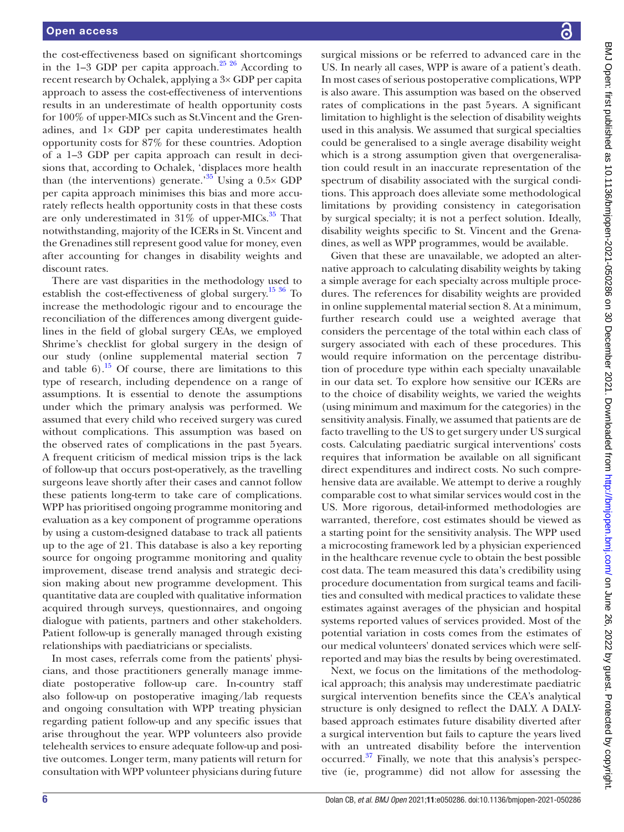the cost-effectiveness based on significant shortcomings in the 1–3 GDP per capita approach. $25\frac{25}{6}$  According to recent research by Ochalek, applying a 3× GDP per capita approach to assess the cost-effectiveness of interventions results in an underestimate of health opportunity costs for 100% of upper-MICs such as St.Vincent and the Grenadines, and 1× GDP per capita underestimates health opportunity costs for 87% for these countries. Adoption of a 1–3 GDP per capita approach can result in decisions that, according to Ochalek, 'displaces more health than (the interventions) generate.<sup>35</sup> Using a  $0.5 \times$  GDP per capita approach minimises this bias and more accurately reflects health opportunity costs in that these costs are only underestimated in  $31\%$  of upper-MICs.<sup>35</sup> That notwithstanding, majority of the ICERs in St. Vincent and the Grenadines still represent good value for money, even after accounting for changes in disability weights and discount rates.

There are vast disparities in the methodology used to establish the cost-effectiveness of global surgery.<sup>15 36</sup> To increase the methodologic rigour and to encourage the reconciliation of the differences among divergent guidelines in the field of global surgery CEAs, we employed Shrime's checklist for global surgery in the design of our study [\(online supplemental material section 7](https://dx.doi.org/10.1136/bmjopen-2021-050286) and table  $6$ ).<sup>15</sup> Of course, there are limitations to this type of research, including dependence on a range of assumptions. It is essential to denote the assumptions under which the primary analysis was performed. We assumed that every child who received surgery was cured without complications. This assumption was based on the observed rates of complications in the past 5years. A frequent criticism of medical mission trips is the lack of follow-up that occurs post-operatively, as the travelling surgeons leave shortly after their cases and cannot follow these patients long-term to take care of complications. WPP has prioritised ongoing programme monitoring and evaluation as a key component of programme operations by using a custom-designed database to track all patients up to the age of 21. This database is also a key reporting source for ongoing programme monitoring and quality improvement, disease trend analysis and strategic decision making about new programme development. This quantitative data are coupled with qualitative information acquired through surveys, questionnaires, and ongoing dialogue with patients, partners and other stakeholders. Patient follow-up is generally managed through existing relationships with paediatricians or specialists.

In most cases, referrals come from the patients' physicians, and those practitioners generally manage immediate postoperative follow-up care. In-country staff also follow-up on postoperative imaging/lab requests and ongoing consultation with WPP treating physician regarding patient follow-up and any specific issues that arise throughout the year. WPP volunteers also provide telehealth services to ensure adequate follow-up and positive outcomes. Longer term, many patients will return for consultation with WPP volunteer physicians during future

surgical missions or be referred to advanced care in the US. In nearly all cases, WPP is aware of a patient's death. In most cases of serious postoperative complications, WPP is also aware. This assumption was based on the observed rates of complications in the past 5years. A significant limitation to highlight is the selection of disability weights used in this analysis. We assumed that surgical specialties could be generalised to a single average disability weight which is a strong assumption given that overgeneralisation could result in an inaccurate representation of the spectrum of disability associated with the surgical conditions. This approach does alleviate some methodological limitations by providing consistency in categorisation by surgical specialty; it is not a perfect solution. Ideally, disability weights specific to St. Vincent and the Grenadines, as well as WPP programmes, would be available.

Given that these are unavailable, we adopted an alternative approach to calculating disability weights by taking a simple average for each specialty across multiple procedures. The references for disability weights are provided in [online supplemental material section 8.](https://dx.doi.org/10.1136/bmjopen-2021-050286) At a minimum, further research could use a weighted average that considers the percentage of the total within each class of surgery associated with each of these procedures. This would require information on the percentage distribution of procedure type within each specialty unavailable in our data set. To explore how sensitive our ICERs are to the choice of disability weights, we varied the weights (using minimum and maximum for the categories) in the sensitivity analysis. Finally, we assumed that patients are de facto travelling to the US to get surgery under US surgical costs. Calculating paediatric surgical interventions' costs requires that information be available on all significant direct expenditures and indirect costs. No such comprehensive data are available. We attempt to derive a roughly comparable cost to what similar services would cost in the US. More rigorous, detail-informed methodologies are warranted, therefore, cost estimates should be viewed as a starting point for the sensitivity analysis. The WPP used a microcosting framework led by a physician experienced in the healthcare revenue cycle to obtain the best possible cost data. The team measured this data's credibility using procedure documentation from surgical teams and facilities and consulted with medical practices to validate these estimates against averages of the physician and hospital systems reported values of services provided. Most of the potential variation in costs comes from the estimates of our medical volunteers' donated services which were selfreported and may bias the results by being overestimated.

Next, we focus on the limitations of the methodological approach; this analysis may underestimate paediatric surgical intervention benefits since the CEA's analytical structure is only designed to reflect the DALY. A DALYbased approach estimates future disability diverted after a surgical intervention but fails to capture the years lived with an untreated disability before the intervention occurred.[37](#page-7-2) Finally, we note that this analysis's perspective (ie, programme) did not allow for assessing the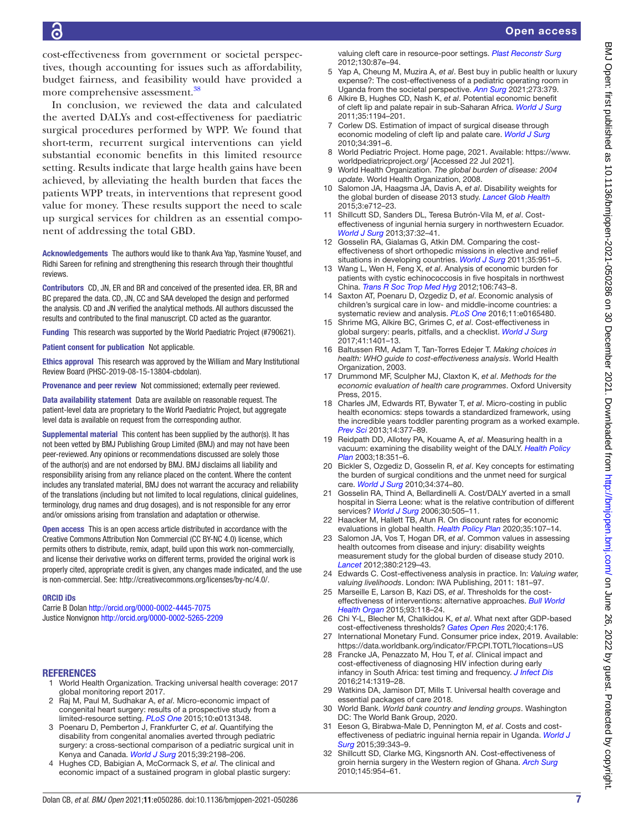cost-effectiveness from government or societal perspectives, though accounting for issues such as affordability, budget fairness, and feasibility would have provided a more comprehensive assessment.<sup>[38](#page-7-3)</sup>

In conclusion, we reviewed the data and calculated the averted DALYs and cost-effectiveness for paediatric surgical procedures performed by WPP. We found that short-term, recurrent surgical interventions can yield substantial economic benefits in this limited resource setting. Results indicate that large health gains have been achieved, by alleviating the health burden that faces the patients WPP treats, in interventions that represent good value for money. These results support the need to scale up surgical services for children as an essential component of addressing the total GBD.

Acknowledgements The authors would like to thank Ava Yap, Yasmine Yousef, and Ridhi Sareen for refining and strengthening this research through their thoughtful reviews.

Contributors CD, JN, ER and BR and conceived of the presented idea. ER, BR and BC prepared the data. CD, JN, CC and SAA developed the design and performed the analysis. CD and JN verified the analytical methods. All authors discussed the results and contributed to the final manuscript. CD acted as the guarantor.

Funding This research was supported by the World Paediatric Project (#790621).

Patient consent for publication Not applicable.

Ethics approval This research was approved by the William and Mary Institutional Review Board (PHSC-2019-08-15-13804-cbdolan).

Provenance and peer review Not commissioned; externally peer reviewed.

Data availability statement Data are available on reasonable request. The patient-level data are proprietary to the World Paediatric Project, but aggregate level data is available on request from the corresponding author.

Supplemental material This content has been supplied by the author(s). It has not been vetted by BMJ Publishing Group Limited (BMJ) and may not have been peer-reviewed. Any opinions or recommendations discussed are solely those of the author(s) and are not endorsed by BMJ. BMJ disclaims all liability and responsibility arising from any reliance placed on the content. Where the content includes any translated material, BMJ does not warrant the accuracy and reliability of the translations (including but not limited to local regulations, clinical guidelines, terminology, drug names and drug dosages), and is not responsible for any error and/or omissions arising from translation and adaptation or otherwise.

Open access This is an open access article distributed in accordance with the Creative Commons Attribution Non Commercial (CC BY-NC 4.0) license, which permits others to distribute, remix, adapt, build upon this work non-commercially, and license their derivative works on different terms, provided the original work is properly cited, appropriate credit is given, any changes made indicated, and the use is non-commercial. See: [http://creativecommons.org/licenses/by-nc/4.0/.](http://creativecommons.org/licenses/by-nc/4.0/)

#### ORCID iDs

Carrie B Dolan <http://orcid.org/0000-0002-4445-7075> Justice Nonvignon <http://orcid.org/0000-0002-5265-2209>

#### <span id="page-6-0"></span>**REFERENCES**

- 1 World Health Organization. Tracking universal health coverage: 2017 global monitoring report 2017.
- <span id="page-6-1"></span>2 Raj M, Paul M, Sudhakar A, *et al*. Micro-economic impact of congenital heart surgery: results of a prospective study from a limited-resource setting. *[PLoS One](http://dx.doi.org/10.1371/journal.pone.0131348)* 2015;10:e0131348.
- <span id="page-6-2"></span>3 Poenaru D, Pemberton J, Frankfurter C, *et al*. Quantifying the disability from congenital anomalies averted through pediatric surgery: a cross-sectional comparison of a pediatric surgical unit in Kenya and Canada. *[World J Surg](http://dx.doi.org/10.1007/s00268-015-3103-8)* 2015;39:2198–206.
- <span id="page-6-3"></span>4 Hughes CD, Babigian A, McCormack S, *et al*. The clinical and economic impact of a sustained program in global plastic surgery:

valuing cleft care in resource-poor settings. *[Plast Reconstr Surg](http://dx.doi.org/10.1097/PRS.0b013e318254b2a2)* 2012;130:87e–94.

- <span id="page-6-4"></span>5 Yap A, Cheung M, Muzira A, *et al*. Best buy in public health or luxury expense?: The cost-effectiveness of a pediatric operating room in Uganda from the societal perspective. *[Ann Surg](http://dx.doi.org/10.1097/SLA.0000000000003263)* 2021;273:379.
- <span id="page-6-5"></span>6 Alkire B, Hughes CD, Nash K, *et al*. Potential economic benefit of cleft lip and palate repair in sub-Saharan Africa. *[World J Surg](http://dx.doi.org/10.1007/s00268-011-1055-1)* 2011;35:1194–201.
- 7 Corlew DS. Estimation of impact of surgical disease through economic modeling of cleft lip and palate care. *[World J Surg](http://dx.doi.org/10.1007/s00268-009-0198-9)* 2010;34:391–6.
- <span id="page-6-6"></span>8 World Pediatric Project. Home page, 2021. Available: [https://www.](https://www.worldpediatricproject.org/) [worldpediatricproject.org/](https://www.worldpediatricproject.org/) [Accessed 22 Jul 2021].
- <span id="page-6-7"></span>9 World Health Organization. *The global burden of disease: 2004 update*. World Health Organization, 2008.
- <span id="page-6-16"></span>10 Salomon JA, Haagsma JA, Davis A, *et al*. Disability weights for the global burden of disease 2013 study. *[Lancet Glob Health](http://dx.doi.org/10.1016/S2214-109X(15)00069-8)* 2015;3:e712–23.
- 11 Shillcutt SD, Sanders DL, Teresa Butrón-Vila M, *et al*. Costeffectiveness of ingunial hernia surgery in northwestern Ecuador. *[World J Surg](http://dx.doi.org/10.1007/s00268-012-1808-5)* 2013;37:32–41.
- 12 Gosselin RA, Gialamas G, Atkin DM. Comparing the costeffectiveness of short orthopedic missions in elective and relief situations in developing countries. *[World J Surg](http://dx.doi.org/10.1007/s00268-010-0947-9)* 2011;35:951–5.
- 13 Wang L, Wen H, Feng X, *et al*. Analysis of economic burden for patients with cystic echinococcosis in five hospitals in northwest China. *[Trans R Soc Trop Med Hyg](http://dx.doi.org/10.1016/j.trstmh.2012.09.003)* 2012;106:743–8.
- <span id="page-6-8"></span>14 Saxton AT, Poenaru D, Ozgediz D, *et al*. Economic analysis of children's surgical care in low- and middle-income countries: a systematic review and analysis. *[PLoS One](http://dx.doi.org/10.1371/journal.pone.0165480)* 2016;11:e0165480.
- <span id="page-6-9"></span>15 Shrime MG, Alkire BC, Grimes C, *et al*. Cost-effectiveness in global surgery: pearls, pitfalls, and a checklist. *[World J Surg](http://dx.doi.org/10.1007/s00268-017-3875-0)* 2017;41:1401–13.
- <span id="page-6-10"></span>16 Baltussen RM, Adam T, Tan-Torres Edejer T. *Making choices in health: WHO guide to cost-effectiveness analysis*. World Health Organization, 2003.
- <span id="page-6-11"></span>17 Drummond MF, Sculpher MJ, Claxton K, *et al*. *Methods for the economic evaluation of health care programmes*. Oxford University Press, 2015.
- <span id="page-6-12"></span>18 Charles JM, Edwards RT, Bywater T, *et al*. Micro-costing in public health economics: steps towards a standardized framework, using the incredible years toddler parenting program as a worked example. *[Prev Sci](http://dx.doi.org/10.1007/s11121-012-0302-5)* 2013;14:377–89.
- <span id="page-6-13"></span>19 Reidpath DD, Allotey PA, Kouame A, *et al*. Measuring health in a vacuum: examining the disability weight of the DALY. *[Health Policy](http://dx.doi.org/10.1093/heapol/czg043)  [Plan](http://dx.doi.org/10.1093/heapol/czg043)* 2003;18:351–6.
- <span id="page-6-14"></span>20 Bickler S, Ozgediz D, Gosselin R, *et al*. Key concepts for estimating the burden of surgical conditions and the unmet need for surgical care. *[World J Surg](http://dx.doi.org/10.1007/s00268-009-0261-6)* 2010;34:374–80.
- 21 Gosselin RA, Thind A, Bellardinelli A. Cost/DALY averted in a small hospital in Sierra Leone: what is the relative contribution of different services? *[World J Surg](http://dx.doi.org/10.1007/s00268-005-0609-5)* 2006;30:505–11.
- <span id="page-6-15"></span>22 Haacker M, Hallett TB, Atun R. On discount rates for economic evaluations in global health. *[Health Policy Plan](http://dx.doi.org/10.1093/heapol/czz127)* 2020;35:107–14.
- 23 Salomon JA, Vos T, Hogan DR, *et al*. Common values in assessing health outcomes from disease and injury: disability weights measurement study for the global burden of disease study 2010. *[Lancet](http://dx.doi.org/10.1016/S0140-6736(12)61680-8)* 2012;380:2129–43.
- 24 Edwards C. Cost-effectiveness analysis in practice. In: *Valuing water, valuing livelihoods*. London: IWA Publishing, 2011: 181–97.
- <span id="page-6-17"></span>25 Marseille E, Larson B, Kazi DS, *et al*. Thresholds for the costeffectiveness of interventions: alternative approaches. *[Bull World](http://dx.doi.org/10.2471/BLT.14.138206)  [Health Organ](http://dx.doi.org/10.2471/BLT.14.138206)* 2015;93:118–24.
- <span id="page-6-18"></span>26 Chi Y-L, Blecher M, Chalkidou K, *et al*. What next after GDP-based cost-effectiveness thresholds? *[Gates Open Res](http://dx.doi.org/10.12688/gatesopenres.13201.1)* 2020;4:176.
- <span id="page-6-21"></span>27 International Monetary Fund. Consumer price index, 2019. Available: <https://data.worldbank.org/indicator/FP.CPI.TOTL?locations=US>
- <span id="page-6-19"></span>28 Francke JA, Penazzato M, Hou T, *et al*. Clinical impact and cost-effectiveness of diagnosing HIV infection during early infancy in South Africa: test timing and frequency. *[J Infect Dis](http://dx.doi.org/10.1093/infdis/jiw379)* 2016;214:1319–28.
- <span id="page-6-20"></span>29 Watkins DA, Jamison DT, Mills T. Universal health coverage and essential packages of care 2018.
- <span id="page-6-22"></span>30 World Bank. *World bank country and lending groups*. Washington DC: The World Bank Group, 2020.
- 31 Eeson G, Birabwa-Male D, Pennington M, *et al*. Costs and costeffectiveness of pediatric inguinal hernia repair in Uganda. *[World J](http://dx.doi.org/10.1007/s00268-014-2818-2)  [Surg](http://dx.doi.org/10.1007/s00268-014-2818-2)* 2015;39:343–9.
- 32 Shillcutt SD, Clarke MG, Kingsnorth AN. Cost-effectiveness of groin hernia surgery in the Western region of Ghana. *[Arch Surg](http://dx.doi.org/10.1001/archsurg.2010.208)* 2010;145:954–61.